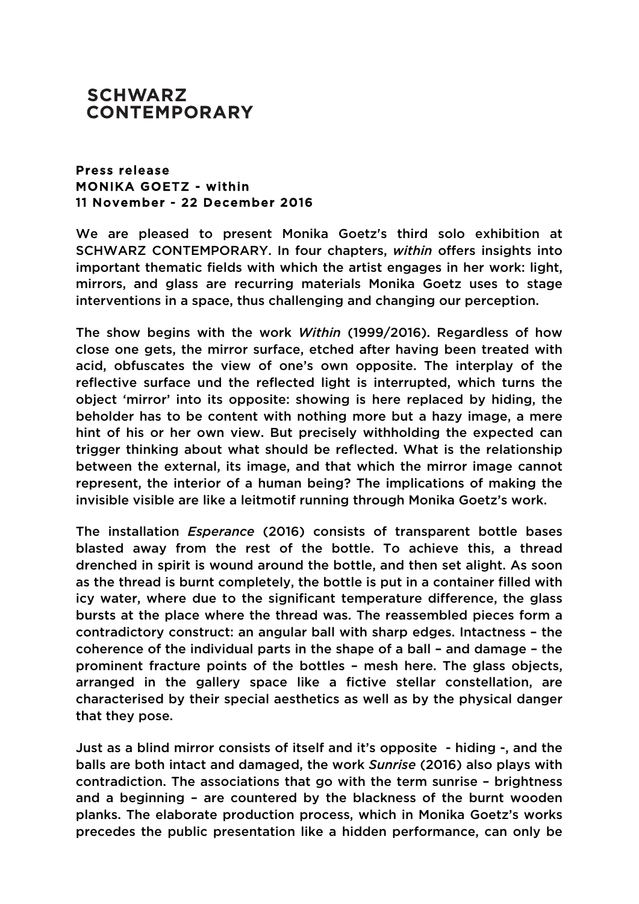## **SCHWARZ CONTEMPORARY**

## Press release MONIKA GOETZ - within 11 November - 22 December 2016

We are pleased to present Monika Goetz's third solo exhibition at SCHWARZ CONTEMPORARY. In four chapters, *within* offers insights into important thematic fields with which the artist engages in her work: light, mirrors, and glass are recurring materials Monika Goetz uses to stage interventions in a space, thus challenging and changing our perception.

The show begins with the work *Within* (1999/2016). Regardless of how close one gets, the mirror surface, etched after having been treated with acid, obfuscates the view of one's own opposite. The interplay of the reflective surface und the reflected light is interrupted, which turns the object 'mirror' into its opposite: showing is here replaced by hiding, the beholder has to be content with nothing more but a hazy image, a mere hint of his or her own view. But precisely withholding the expected can trigger thinking about what should be reflected. What is the relationship between the external, its image, and that which the mirror image cannot represent, the interior of a human being? The implications of making the invisible visible are like a leitmotif running through Monika Goetz's work.

The installation *Esperance* (2016) consists of transparent bottle bases blasted away from the rest of the bottle. To achieve this, a thread drenched in spirit is wound around the bottle, and then set alight. As soon as the thread is burnt completely, the bottle is put in a container filled with icy water, where due to the significant temperature difference, the glass bursts at the place where the thread was. The reassembled pieces form a contradictory construct: an angular ball with sharp edges. Intactness – the coherence of the individual parts in the shape of a ball – and damage – the prominent fracture points of the bottles – mesh here. The glass objects, arranged in the gallery space like a fictive stellar constellation, are characterised by their special aesthetics as well as by the physical danger that they pose.

Just as a blind mirror consists of itself and it's opposite - hiding -, and the balls are both intact and damaged, the work *Sunrise* (2016) also plays with contradiction. The associations that go with the term sunrise – brightness and a beginning – are countered by the blackness of the burnt wooden planks. The elaborate production process, which in Monika Goetz's works precedes the public presentation like a hidden performance, can only be